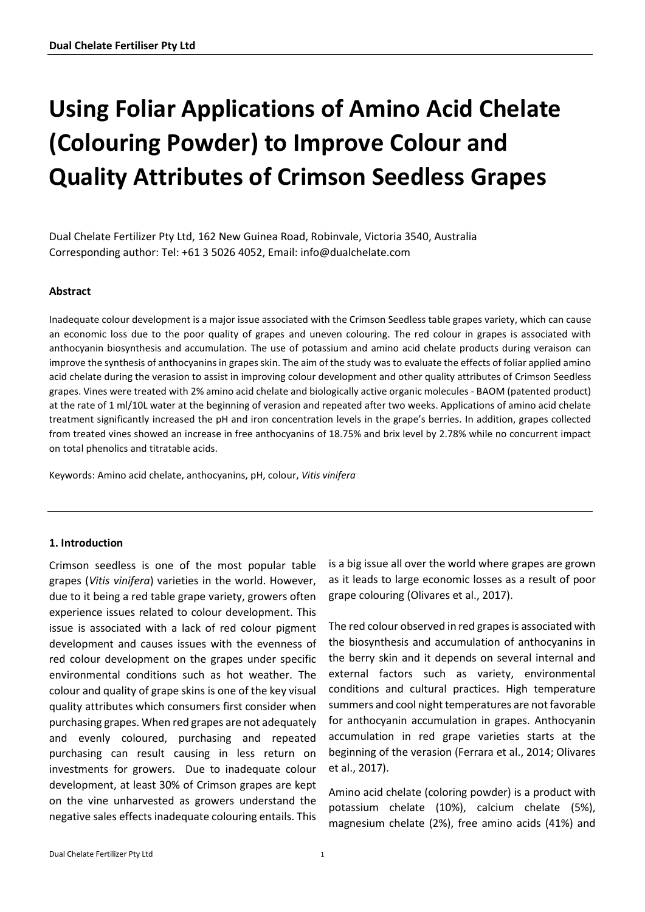# **Using Foliar Applications of Amino Acid Chelate (Colouring Powder) to Improve Colour and Quality Attributes of Crimson Seedless Grapes**

Dual Chelate Fertilizer Pty Ltd, 162 New Guinea Road, Robinvale, Victoria 3540, Australia Corresponding author: Tel: +61 3 5026 4052, Email: info@dualchelate.com

# **Abstract**

Inadequate colour development is a major issue associated with the Crimson Seedless table grapes variety, which can cause an economic loss due to the poor quality of grapes and uneven colouring. The red colour in grapes is associated with anthocyanin biosynthesis and accumulation. The use of potassium and amino acid chelate products during veraison can improve the synthesis of anthocyanins in grapes skin. The aim of the study was to evaluate the effects of foliar applied amino acid chelate during the verasion to assist in improving colour development and other quality attributes of Crimson Seedless grapes. Vines were treated with 2% amino acid chelate and biologically active organic molecules - BAOM (patented product) at the rate of 1 ml/10L water at the beginning of verasion and repeated after two weeks. Applications of amino acid chelate treatment significantly increased the pH and iron concentration levels in the grape's berries. In addition, grapes collected from treated vines showed an increase in free anthocyanins of 18.75% and brix level by 2.78% while no concurrent impact on total phenolics and titratable acids.

Keywords: Amino acid chelate, anthocyanins, pH, colour, *Vitis vinifera*

#### **1. Introduction**

Crimson seedless is one of the most popular table grapes (*Vitis vinifera*) varieties in the world. However, due to it being a red table grape variety, growers often experience issues related to colour development. This issue is associated with a lack of red colour pigment development and causes issues with the evenness of red colour development on the grapes under specific environmental conditions such as hot weather. The colour and quality of grape skins is one of the key visual quality attributes which consumers first consider when purchasing grapes. When red grapes are not adequately and evenly coloured, purchasing and repeated purchasing can result causing in less return on investments for growers. Due to inadequate colour development, at least 30% of Crimson grapes are kept on the vine unharvested as growers understand the negative sales effects inadequate colouring entails. This

is a big issue all over the world where grapes are grown as it leads to large economic losses as a result of poor grape colouring (Olivares et al., 2017).

The red colour observed in red grapes is associated with the biosynthesis and accumulation of anthocyanins in the berry skin and it depends on several internal and external factors such as variety, environmental conditions and cultural practices. High temperature summers and cool night temperatures are not favorable for anthocyanin accumulation in grapes. Anthocyanin accumulation in red grape varieties starts at the beginning of the verasion (Ferrara et al., 2014; Olivares et al., 2017).

Amino acid chelate (coloring powder) is a product with potassium chelate (10%), calcium chelate (5%), magnesium chelate (2%), free amino acids (41%) and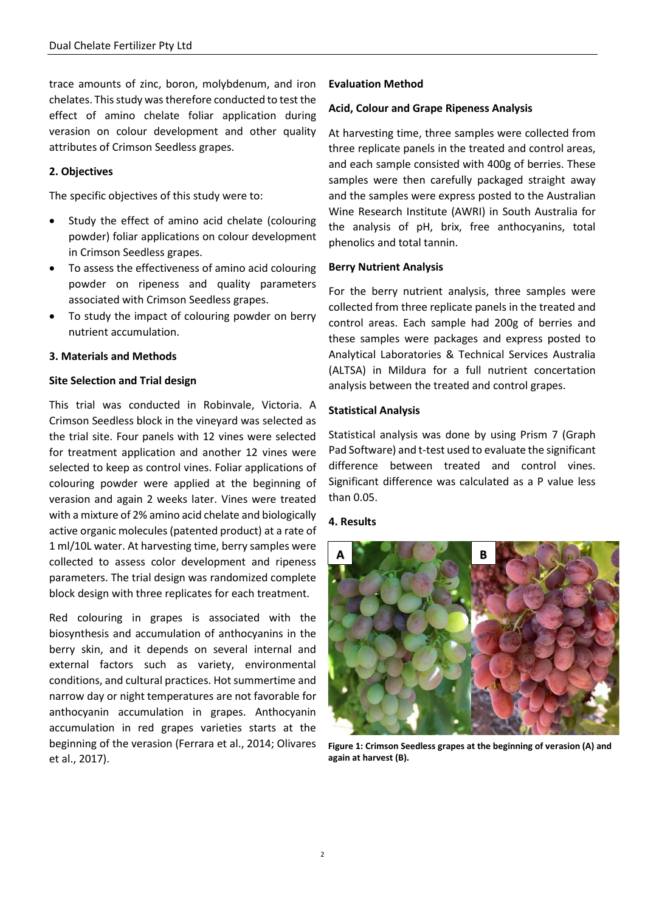trace amounts of zinc, boron, molybdenum, and iron chelates. This study was therefore conducted to test the effect of amino chelate foliar application during verasion on colour development and other quality attributes of Crimson Seedless grapes.

# **2. Objectives**

The specific objectives of this study were to:

- Study the effect of amino acid chelate (colouring powder) foliar applications on colour development in Crimson Seedless grapes.
- To assess the effectiveness of amino acid colouring powder on ripeness and quality parameters associated with Crimson Seedless grapes.
- To study the impact of colouring powder on berry nutrient accumulation.

# **3. Materials and Methods**

# **Site Selection and Trial design**

This trial was conducted in Robinvale, Victoria. A Crimson Seedless block in the vineyard was selected as the trial site. Four panels with 12 vines were selected for treatment application and another 12 vines were selected to keep as control vines. Foliar applications of colouring powder were applied at the beginning of verasion and again 2 weeks later. Vines were treated with a mixture of 2% amino acid chelate and biologically active organic molecules (patented product) at a rate of 1 ml/10L water. At harvesting time, berry samples were collected to assess color development and ripeness parameters. The trial design was randomized complete block design with three replicates for each treatment.

Red colouring in grapes is associated with the biosynthesis and accumulation of anthocyanins in the berry skin, and it depends on several internal and external factors such as variety, environmental conditions, and cultural practices. Hot summertime and narrow day or night temperatures are not favorable for anthocyanin accumulation in grapes. Anthocyanin accumulation in red grapes varieties starts at the beginning of the verasion (Ferrara et al., 2014; Olivares et al., 2017).

# **Evaluation Method**

# **Acid, Colour and Grape Ripeness Analysis**

At harvesting time, three samples were collected from three replicate panels in the treated and control areas, and each sample consisted with 400g of berries. These samples were then carefully packaged straight away and the samples were express posted to the Australian Wine Research Institute (AWRI) in South Australia for the analysis of pH, brix, free anthocyanins, total phenolics and total tannin.

#### **Berry Nutrient Analysis**

For the berry nutrient analysis, three samples were collected from three replicate panels in the treated and control areas. Each sample had 200g of berries and these samples were packages and express posted to Analytical Laboratories & Technical Services Australia (ALTSA) in Mildura for a full nutrient concertation analysis between the treated and control grapes.

# **Statistical Analysis**

Statistical analysis was done by using Prism 7 (Graph Pad Software) and t-test used to evaluate the significant difference between treated and control vines. Significant difference was calculated as a P value less than 0.05.

#### **4. Results**



**Figure 1: Crimson Seedless grapes at the beginning of verasion (A) and again at harvest (B).**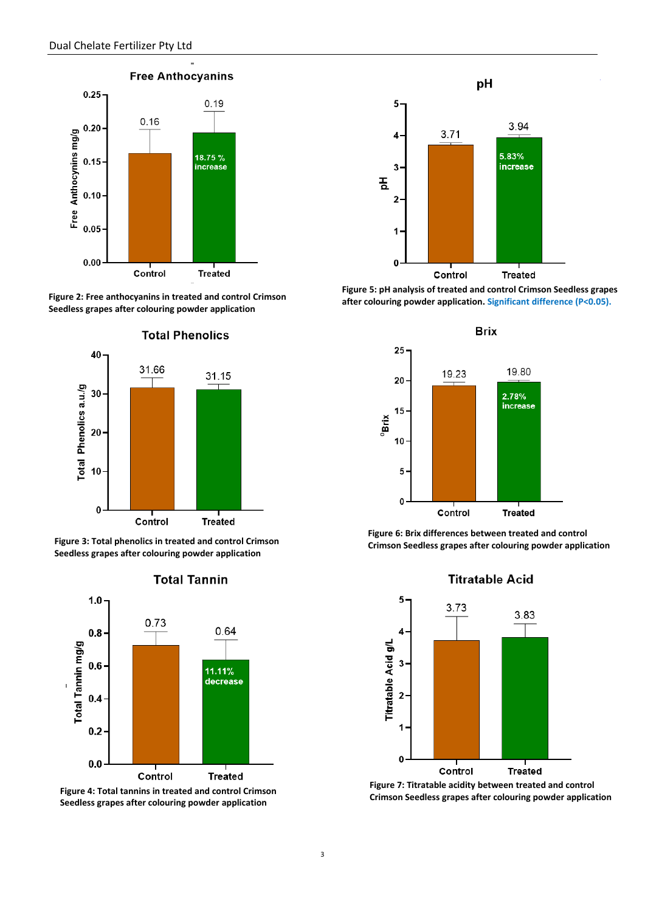

**Figure 2: Free anthocyanins in treated and control Crimson Seedless grapes after colouring powder application**



**Figure 3: Total phenolics in treated and control Crimson Seedless grapes after colouring powder application** 



#### **Total Tannin**

**Figure 4: Total tannins in treated and control Crimson Seedless grapes after colouring powder application**



**Figure 5: pH analysis of treated and control Crimson Seedless grapes after colouring powder application. Significant difference (P<0.05).**



**Figure 6: Brix differences between treated and control Crimson Seedless grapes after colouring powder application**

# **Titratable Acid**



**Figure 7: Titratable acidity between treated and control Crimson Seedless grapes after colouring powder application**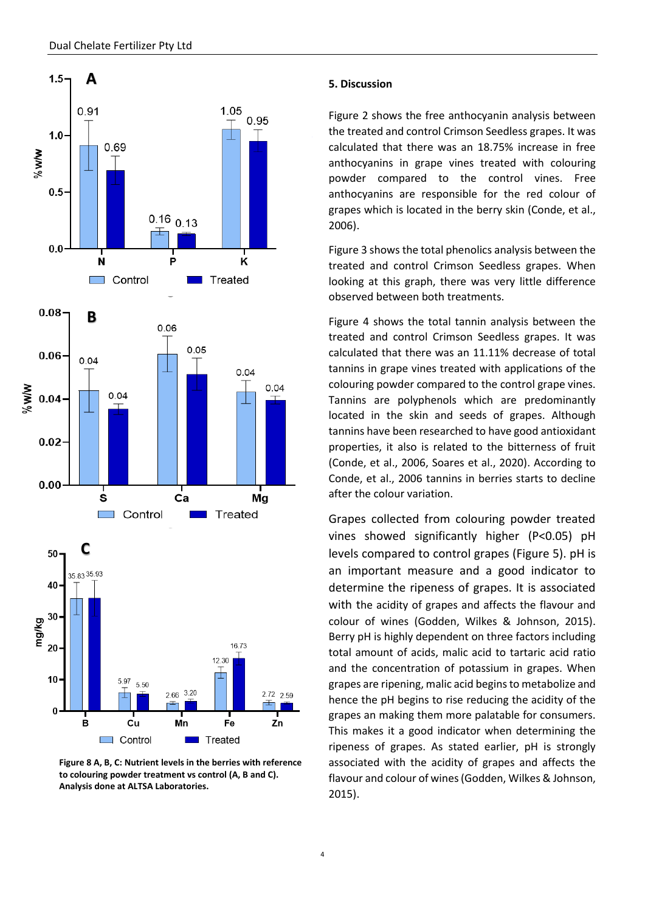

**Figure 8 A, B, C: Nutrient levels in the berries with reference to colouring powder treatment vs control (A, B and C). Analysis done at ALTSA Laboratories.**

#### **5. Discussion**

Figure 2 shows the free anthocyanin analysis between the treated and control Crimson Seedless grapes. It was calculated that there was an 18.75% increase in free anthocyanins in grape vines treated with colouring powder compared to the control vines. Free anthocyanins are responsible for the red colour of grapes which is located in the berry skin (Conde, et al., 2006).

Figure 3 shows the total phenolics analysis between the treated and control Crimson Seedless grapes. When looking at this graph, there was very little difference observed between both treatments.

Figure 4 shows the total tannin analysis between the treated and control Crimson Seedless grapes. It was calculated that there was an 11.11% decrease of total tannins in grape vines treated with applications of the colouring powder compared to the control grape vines. Tannins are polyphenols which are predominantly located in the skin and seeds of grapes. Although tannins have been researched to have good antioxidant properties, it also is related to the bitterness of fruit (Conde, et al., 2006, Soares et al., 2020). According to Conde, et al., 2006 tannins in berries starts to decline after the colour variation.

Grapes collected from colouring powder treated vines showed significantly higher (P<0.05) pH levels compared to control grapes (Figure 5). pH is an important measure and a good indicator to determine the ripeness of grapes. It is associated with the acidity of grapes and affects the flavour and colour of wines (Godden, Wilkes & Johnson, 2015). Berry pH is highly dependent on three factors including total amount of acids, malic acid to tartaric acid ratio and the concentration of potassium in grapes. When grapes are ripening, malic acid begins to metabolize and hence the pH begins to rise reducing the acidity of the grapes an making them more palatable for consumers. This makes it a good indicator when determining the ripeness of grapes. As stated earlier, pH is strongly associated with the acidity of grapes and affects the flavour and colour of wines (Godden, Wilkes & Johnson, 2015).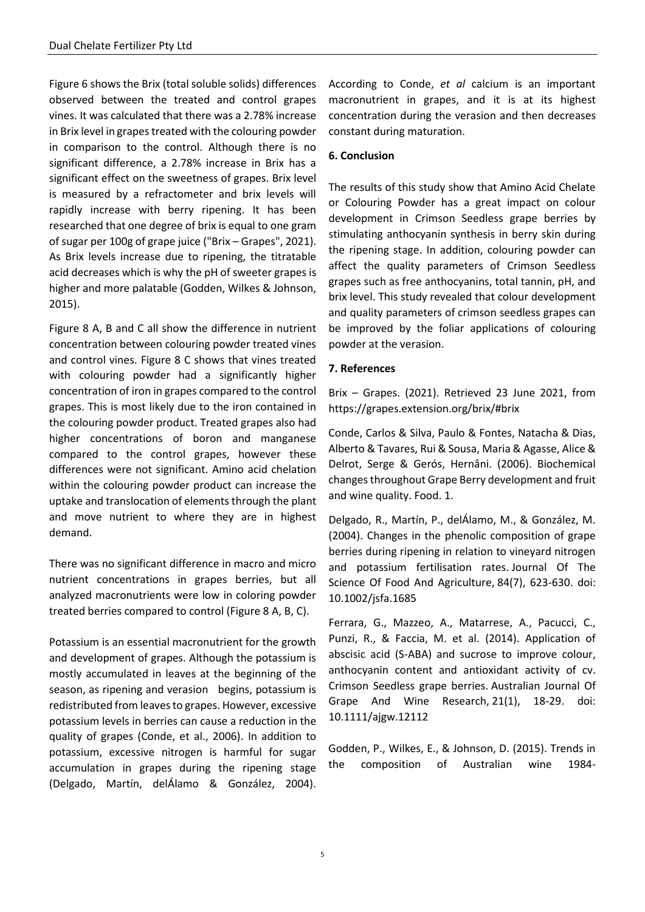Figure 6 shows the Brix (total soluble solids) differences observed between the treated and control grapes vines. It was calculated that there was a 2.78% increase in Brix level in grapes treated with the colouring powder in comparison to the control. Although there is no significant difference, a 2.78% increase in Brix has a significant effect on the sweetness of grapes. Brix level is measured by a refractometer and brix levels will rapidly increase with berry ripening. It has been researched that one degree of brix is equal to one gram of sugar per 100g of grape juice ("Brix – Grapes", 2021). As Brix levels increase due to ripening, the titratable acid decreases which is why the pH of sweeter grapes is higher and more palatable (Godden, Wilkes & Johnson, 2015).

Figure 8 A, B and C all show the difference in nutrient concentration between colouring powder treated vines and control vines. Figure 8 C shows that vines treated with colouring powder had a significantly higher concentration of iron in grapes compared to the control grapes. This is most likely due to the iron contained in the colouring powder product. Treated grapes also had higher concentrations of boron and manganese compared to the control grapes, however these differences were not significant. Amino acid chelation within the colouring powder product can increase the uptake and translocation of elements through the plant and move nutrient to where they are in highest demand.

There was no significant difference in macro and micro nutrient concentrations in grapes berries, but all analyzed macronutrients were low in coloring powder treated berries compared to control (Figure 8 A, B, C).

Potassium is an essential macronutrient for the growth and development of grapes. Although the potassium is mostly accumulated in leaves at the beginning of the season, as ripening and verasion begins, potassium is redistributed from leaves to grapes. However, excessive potassium levels in berries can cause a reduction in the quality of grapes (Conde, et al., 2006). In addition to potassium, excessive nitrogen is harmful for sugar accumulation in grapes during the ripening stage (Delgado, Martín, delÁlamo & González, 2004).

According to Conde, *et al* calcium is an important macronutrient in grapes, and it is at its highest concentration during the verasion and then decreases constant during maturation.

# **6. Conclusion**

The results of this study show that Amino Acid Chelate or Colouring Powder has a great impact on colour development in Crimson Seedless grape berries by stimulating anthocyanin synthesis in berry skin during the ripening stage. In addition, colouring powder can affect the quality parameters of Crimson Seedless grapes such as free anthocyanins, total tannin, pH, and brix level. This study revealed that colour development and quality parameters of crimson seedless grapes can be improved by the foliar applications of colouring powder at the verasion.

# **7. References**

Brix – Grapes. (2021). Retrieved 23 June 2021, from <https://grapes.extension.org/brix/#brix>

Conde, Carlos & Silva, Paulo & Fontes, Natacha & Dias, Alberto & Tavares, Rui & Sousa, Maria & Agasse, Alice & Delrot, Serge & Gerós, Hernâni. (2006). Biochemical changes throughout Grape Berry development and fruit and wine quality. Food. 1.

Delgado, R., Martín, P., delÁlamo, M., & González, M. (2004). Changes in the phenolic composition of grape berries during ripening in relation to vineyard nitrogen and potassium fertilisation rates. Journal Of The Science Of Food And Agriculture, 84(7), 623-630. doi: 10.1002/jsfa.1685

Ferrara, G., Mazzeo, A., Matarrese, A., Pacucci, C., Punzi, R., & Faccia, M. et al. (2014). Application of abscisic acid (S-ABA) and sucrose to improve colour, anthocyanin content and antioxidant activity of cv. Crimson Seedless grape berries. Australian Journal Of Grape And Wine Research, 21(1), 18-29. doi: 10.1111/ajgw.12112

Godden, P., Wilkes, E., & Johnson, D. (2015). Trends in the composition of Australian wine 1984-